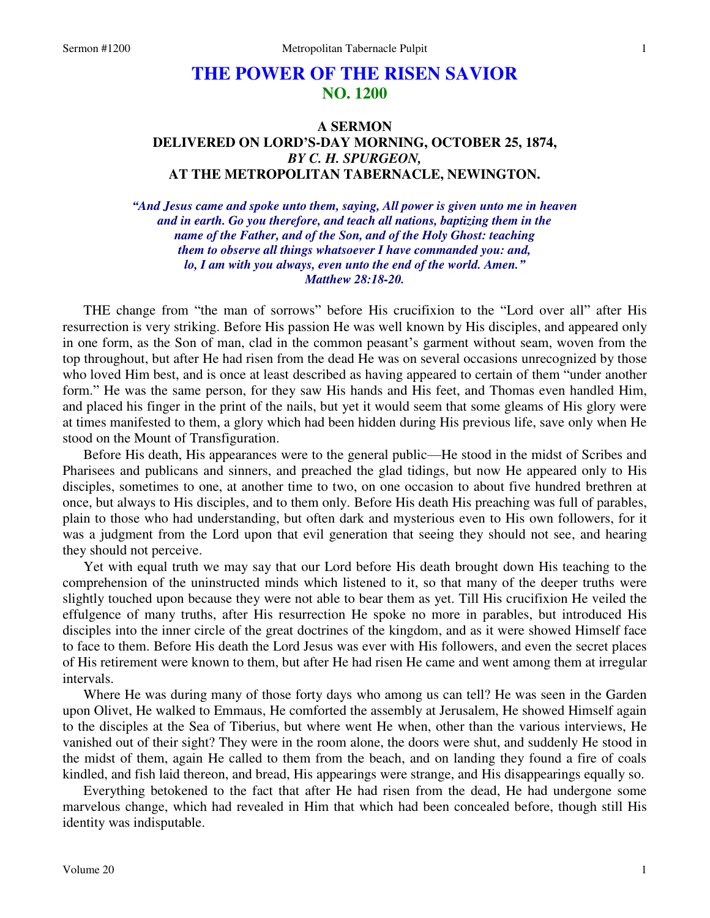# **THE POWER OF THE RISEN SAVIOR NO. 1200**

# **A SERMON DELIVERED ON LORD'S-DAY MORNING, OCTOBER 25, 1874,**  *BY C. H. SPURGEON,*  **AT THE METROPOLITAN TABERNACLE, NEWINGTON.**

*"And Jesus came and spoke unto them, saying, All power is given unto me in heaven and in earth. Go you therefore, and teach all nations, baptizing them in the name of the Father, and of the Son, and of the Holy Ghost: teaching them to observe all things whatsoever I have commanded you: and, lo, I am with you always, even unto the end of the world. Amen." Matthew 28:18-20.* 

THE change from "the man of sorrows" before His crucifixion to the "Lord over all" after His resurrection is very striking. Before His passion He was well known by His disciples, and appeared only in one form, as the Son of man, clad in the common peasant's garment without seam, woven from the top throughout, but after He had risen from the dead He was on several occasions unrecognized by those who loved Him best, and is once at least described as having appeared to certain of them "under another form." He was the same person, for they saw His hands and His feet, and Thomas even handled Him, and placed his finger in the print of the nails, but yet it would seem that some gleams of His glory were at times manifested to them, a glory which had been hidden during His previous life, save only when He stood on the Mount of Transfiguration.

Before His death, His appearances were to the general public—He stood in the midst of Scribes and Pharisees and publicans and sinners, and preached the glad tidings, but now He appeared only to His disciples, sometimes to one, at another time to two, on one occasion to about five hundred brethren at once, but always to His disciples, and to them only. Before His death His preaching was full of parables, plain to those who had understanding, but often dark and mysterious even to His own followers, for it was a judgment from the Lord upon that evil generation that seeing they should not see, and hearing they should not perceive.

Yet with equal truth we may say that our Lord before His death brought down His teaching to the comprehension of the uninstructed minds which listened to it, so that many of the deeper truths were slightly touched upon because they were not able to bear them as yet. Till His crucifixion He veiled the effulgence of many truths, after His resurrection He spoke no more in parables, but introduced His disciples into the inner circle of the great doctrines of the kingdom, and as it were showed Himself face to face to them. Before His death the Lord Jesus was ever with His followers, and even the secret places of His retirement were known to them, but after He had risen He came and went among them at irregular intervals.

Where He was during many of those forty days who among us can tell? He was seen in the Garden upon Olivet, He walked to Emmaus, He comforted the assembly at Jerusalem, He showed Himself again to the disciples at the Sea of Tiberius, but where went He when, other than the various interviews, He vanished out of their sight? They were in the room alone, the doors were shut, and suddenly He stood in the midst of them, again He called to them from the beach, and on landing they found a fire of coals kindled, and fish laid thereon, and bread, His appearings were strange, and His disappearings equally so.

Everything betokened to the fact that after He had risen from the dead, He had undergone some marvelous change, which had revealed in Him that which had been concealed before, though still His identity was indisputable.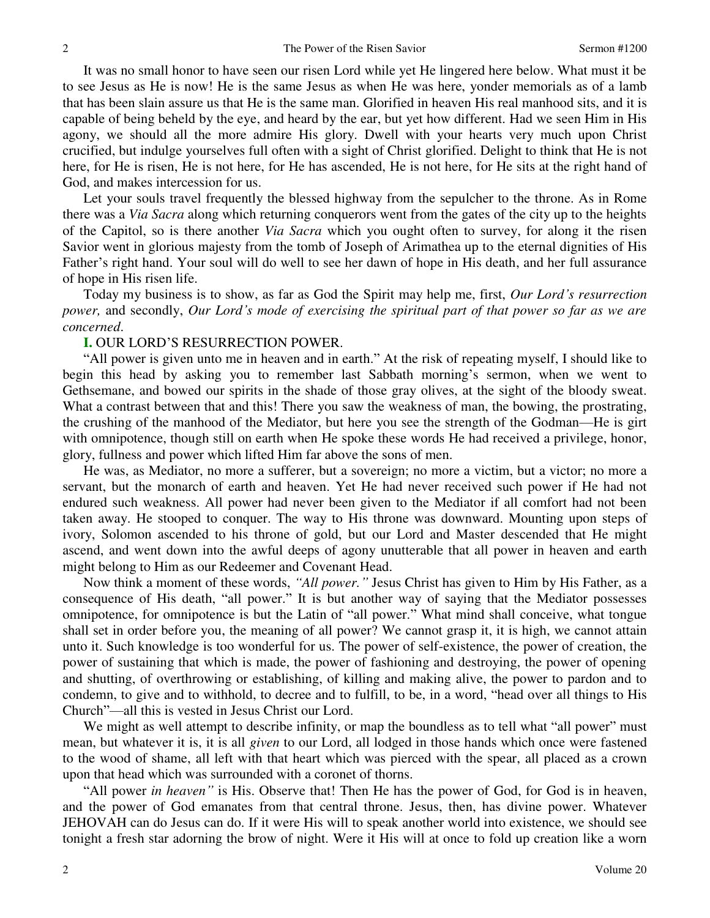It was no small honor to have seen our risen Lord while yet He lingered here below. What must it be to see Jesus as He is now! He is the same Jesus as when He was here, yonder memorials as of a lamb that has been slain assure us that He is the same man. Glorified in heaven His real manhood sits, and it is capable of being beheld by the eye, and heard by the ear, but yet how different. Had we seen Him in His agony, we should all the more admire His glory. Dwell with your hearts very much upon Christ crucified, but indulge yourselves full often with a sight of Christ glorified. Delight to think that He is not here, for He is risen, He is not here, for He has ascended, He is not here, for He sits at the right hand of God, and makes intercession for us.

Let your souls travel frequently the blessed highway from the sepulcher to the throne. As in Rome there was a *Via Sacra* along which returning conquerors went from the gates of the city up to the heights of the Capitol, so is there another *Via Sacra* which you ought often to survey, for along it the risen Savior went in glorious majesty from the tomb of Joseph of Arimathea up to the eternal dignities of His Father's right hand. Your soul will do well to see her dawn of hope in His death, and her full assurance of hope in His risen life.

Today my business is to show, as far as God the Spirit may help me, first, *Our Lord's resurrection power,* and secondly, *Our Lord's mode of exercising the spiritual part of that power so far as we are concerned*.

## **I.** OUR LORD'S RESURRECTION POWER.

"All power is given unto me in heaven and in earth." At the risk of repeating myself, I should like to begin this head by asking you to remember last Sabbath morning's sermon, when we went to Gethsemane, and bowed our spirits in the shade of those gray olives, at the sight of the bloody sweat. What a contrast between that and this! There you saw the weakness of man, the bowing, the prostrating, the crushing of the manhood of the Mediator, but here you see the strength of the Godman—He is girt with omnipotence, though still on earth when He spoke these words He had received a privilege, honor, glory, fullness and power which lifted Him far above the sons of men.

He was, as Mediator, no more a sufferer, but a sovereign; no more a victim, but a victor; no more a servant, but the monarch of earth and heaven. Yet He had never received such power if He had not endured such weakness. All power had never been given to the Mediator if all comfort had not been taken away. He stooped to conquer. The way to His throne was downward. Mounting upon steps of ivory, Solomon ascended to his throne of gold, but our Lord and Master descended that He might ascend, and went down into the awful deeps of agony unutterable that all power in heaven and earth might belong to Him as our Redeemer and Covenant Head.

Now think a moment of these words, *"All power."* Jesus Christ has given to Him by His Father, as a consequence of His death, "all power." It is but another way of saying that the Mediator possesses omnipotence, for omnipotence is but the Latin of "all power." What mind shall conceive, what tongue shall set in order before you, the meaning of all power? We cannot grasp it, it is high, we cannot attain unto it. Such knowledge is too wonderful for us. The power of self-existence, the power of creation, the power of sustaining that which is made, the power of fashioning and destroying, the power of opening and shutting, of overthrowing or establishing, of killing and making alive, the power to pardon and to condemn, to give and to withhold, to decree and to fulfill, to be, in a word, "head over all things to His Church"—all this is vested in Jesus Christ our Lord.

We might as well attempt to describe infinity, or map the boundless as to tell what "all power" must mean, but whatever it is, it is all *given* to our Lord, all lodged in those hands which once were fastened to the wood of shame, all left with that heart which was pierced with the spear, all placed as a crown upon that head which was surrounded with a coronet of thorns.

"All power *in heaven"* is His. Observe that! Then He has the power of God, for God is in heaven, and the power of God emanates from that central throne. Jesus, then, has divine power. Whatever JEHOVAH can do Jesus can do. If it were His will to speak another world into existence, we should see tonight a fresh star adorning the brow of night. Were it His will at once to fold up creation like a worn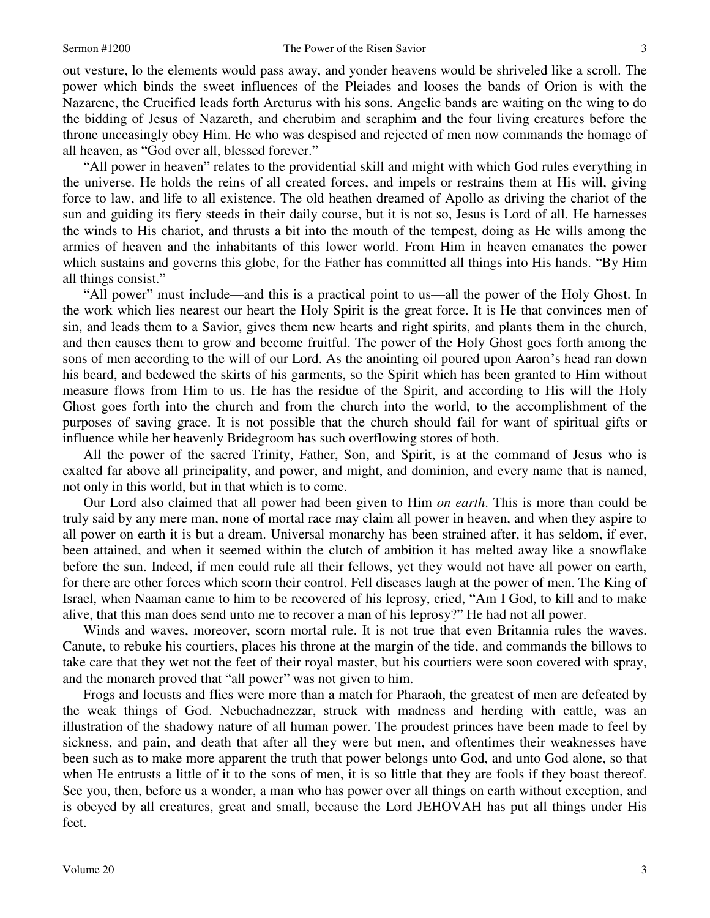3

out vesture, lo the elements would pass away, and yonder heavens would be shriveled like a scroll. The power which binds the sweet influences of the Pleiades and looses the bands of Orion is with the Nazarene, the Crucified leads forth Arcturus with his sons. Angelic bands are waiting on the wing to do the bidding of Jesus of Nazareth, and cherubim and seraphim and the four living creatures before the throne unceasingly obey Him. He who was despised and rejected of men now commands the homage of all heaven, as "God over all, blessed forever."

"All power in heaven" relates to the providential skill and might with which God rules everything in the universe. He holds the reins of all created forces, and impels or restrains them at His will, giving force to law, and life to all existence. The old heathen dreamed of Apollo as driving the chariot of the sun and guiding its fiery steeds in their daily course, but it is not so, Jesus is Lord of all. He harnesses the winds to His chariot, and thrusts a bit into the mouth of the tempest, doing as He wills among the armies of heaven and the inhabitants of this lower world. From Him in heaven emanates the power which sustains and governs this globe, for the Father has committed all things into His hands. "By Him all things consist."

"All power" must include—and this is a practical point to us—all the power of the Holy Ghost. In the work which lies nearest our heart the Holy Spirit is the great force. It is He that convinces men of sin, and leads them to a Savior, gives them new hearts and right spirits, and plants them in the church, and then causes them to grow and become fruitful. The power of the Holy Ghost goes forth among the sons of men according to the will of our Lord. As the anointing oil poured upon Aaron's head ran down his beard, and bedewed the skirts of his garments, so the Spirit which has been granted to Him without measure flows from Him to us. He has the residue of the Spirit, and according to His will the Holy Ghost goes forth into the church and from the church into the world, to the accomplishment of the purposes of saving grace. It is not possible that the church should fail for want of spiritual gifts or influence while her heavenly Bridegroom has such overflowing stores of both.

All the power of the sacred Trinity, Father, Son, and Spirit, is at the command of Jesus who is exalted far above all principality, and power, and might, and dominion, and every name that is named, not only in this world, but in that which is to come.

Our Lord also claimed that all power had been given to Him *on earth*. This is more than could be truly said by any mere man, none of mortal race may claim all power in heaven, and when they aspire to all power on earth it is but a dream. Universal monarchy has been strained after, it has seldom, if ever, been attained, and when it seemed within the clutch of ambition it has melted away like a snowflake before the sun. Indeed, if men could rule all their fellows, yet they would not have all power on earth, for there are other forces which scorn their control. Fell diseases laugh at the power of men. The King of Israel, when Naaman came to him to be recovered of his leprosy, cried, "Am I God, to kill and to make alive, that this man does send unto me to recover a man of his leprosy?" He had not all power.

Winds and waves, moreover, scorn mortal rule. It is not true that even Britannia rules the waves. Canute, to rebuke his courtiers, places his throne at the margin of the tide, and commands the billows to take care that they wet not the feet of their royal master, but his courtiers were soon covered with spray, and the monarch proved that "all power" was not given to him.

Frogs and locusts and flies were more than a match for Pharaoh, the greatest of men are defeated by the weak things of God. Nebuchadnezzar, struck with madness and herding with cattle, was an illustration of the shadowy nature of all human power. The proudest princes have been made to feel by sickness, and pain, and death that after all they were but men, and oftentimes their weaknesses have been such as to make more apparent the truth that power belongs unto God, and unto God alone, so that when He entrusts a little of it to the sons of men, it is so little that they are fools if they boast thereof. See you, then, before us a wonder, a man who has power over all things on earth without exception, and is obeyed by all creatures, great and small, because the Lord JEHOVAH has put all things under His feet.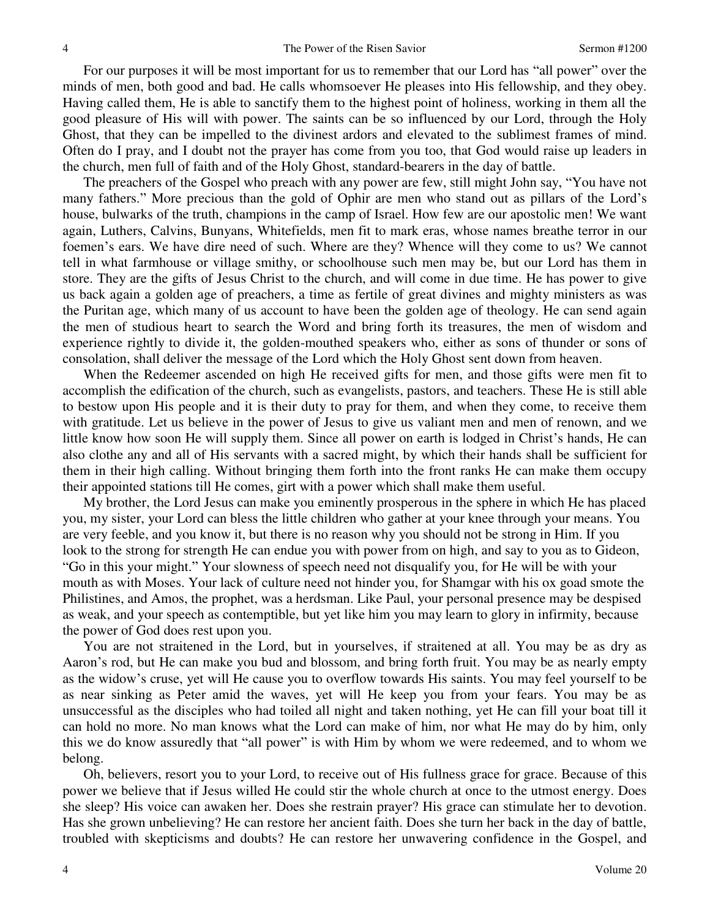For our purposes it will be most important for us to remember that our Lord has "all power" over the minds of men, both good and bad. He calls whomsoever He pleases into His fellowship, and they obey. Having called them, He is able to sanctify them to the highest point of holiness, working in them all the good pleasure of His will with power. The saints can be so influenced by our Lord, through the Holy Ghost, that they can be impelled to the divinest ardors and elevated to the sublimest frames of mind. Often do I pray, and I doubt not the prayer has come from you too, that God would raise up leaders in the church, men full of faith and of the Holy Ghost, standard-bearers in the day of battle.

The preachers of the Gospel who preach with any power are few, still might John say, "You have not many fathers." More precious than the gold of Ophir are men who stand out as pillars of the Lord's house, bulwarks of the truth, champions in the camp of Israel. How few are our apostolic men! We want again, Luthers, Calvins, Bunyans, Whitefields, men fit to mark eras, whose names breathe terror in our foemen's ears. We have dire need of such. Where are they? Whence will they come to us? We cannot tell in what farmhouse or village smithy, or schoolhouse such men may be, but our Lord has them in store. They are the gifts of Jesus Christ to the church, and will come in due time. He has power to give us back again a golden age of preachers, a time as fertile of great divines and mighty ministers as was the Puritan age, which many of us account to have been the golden age of theology. He can send again the men of studious heart to search the Word and bring forth its treasures, the men of wisdom and experience rightly to divide it, the golden-mouthed speakers who, either as sons of thunder or sons of consolation, shall deliver the message of the Lord which the Holy Ghost sent down from heaven.

When the Redeemer ascended on high He received gifts for men, and those gifts were men fit to accomplish the edification of the church, such as evangelists, pastors, and teachers. These He is still able to bestow upon His people and it is their duty to pray for them, and when they come, to receive them with gratitude. Let us believe in the power of Jesus to give us valiant men and men of renown, and we little know how soon He will supply them. Since all power on earth is lodged in Christ's hands, He can also clothe any and all of His servants with a sacred might, by which their hands shall be sufficient for them in their high calling. Without bringing them forth into the front ranks He can make them occupy their appointed stations till He comes, girt with a power which shall make them useful.

My brother, the Lord Jesus can make you eminently prosperous in the sphere in which He has placed you, my sister, your Lord can bless the little children who gather at your knee through your means. You are very feeble, and you know it, but there is no reason why you should not be strong in Him. If you look to the strong for strength He can endue you with power from on high, and say to you as to Gideon, "Go in this your might." Your slowness of speech need not disqualify you, for He will be with your mouth as with Moses. Your lack of culture need not hinder you, for Shamgar with his ox goad smote the Philistines, and Amos, the prophet, was a herdsman. Like Paul, your personal presence may be despised as weak, and your speech as contemptible, but yet like him you may learn to glory in infirmity, because the power of God does rest upon you.

You are not straitened in the Lord, but in yourselves, if straitened at all. You may be as dry as Aaron's rod, but He can make you bud and blossom, and bring forth fruit. You may be as nearly empty as the widow's cruse, yet will He cause you to overflow towards His saints. You may feel yourself to be as near sinking as Peter amid the waves, yet will He keep you from your fears. You may be as unsuccessful as the disciples who had toiled all night and taken nothing, yet He can fill your boat till it can hold no more. No man knows what the Lord can make of him, nor what He may do by him, only this we do know assuredly that "all power" is with Him by whom we were redeemed, and to whom we belong.

Oh, believers, resort you to your Lord, to receive out of His fullness grace for grace. Because of this power we believe that if Jesus willed He could stir the whole church at once to the utmost energy. Does she sleep? His voice can awaken her. Does she restrain prayer? His grace can stimulate her to devotion. Has she grown unbelieving? He can restore her ancient faith. Does she turn her back in the day of battle, troubled with skepticisms and doubts? He can restore her unwavering confidence in the Gospel, and

4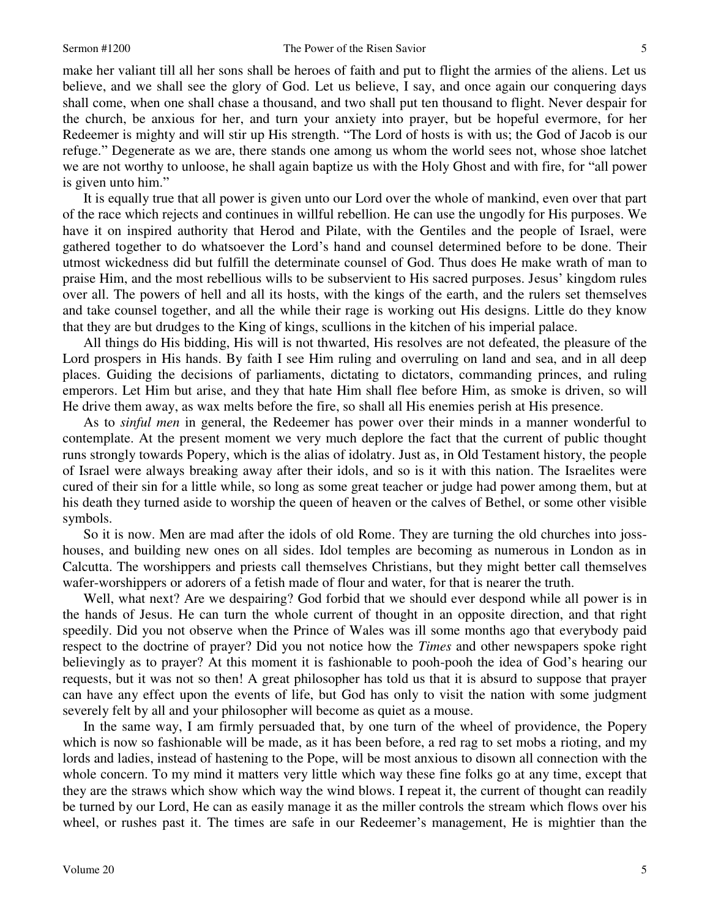make her valiant till all her sons shall be heroes of faith and put to flight the armies of the aliens. Let us believe, and we shall see the glory of God. Let us believe, I say, and once again our conquering days shall come, when one shall chase a thousand, and two shall put ten thousand to flight. Never despair for the church, be anxious for her, and turn your anxiety into prayer, but be hopeful evermore, for her Redeemer is mighty and will stir up His strength. "The Lord of hosts is with us; the God of Jacob is our refuge." Degenerate as we are, there stands one among us whom the world sees not, whose shoe latchet we are not worthy to unloose, he shall again baptize us with the Holy Ghost and with fire, for "all power is given unto him."

It is equally true that all power is given unto our Lord over the whole of mankind, even over that part of the race which rejects and continues in willful rebellion. He can use the ungodly for His purposes. We have it on inspired authority that Herod and Pilate, with the Gentiles and the people of Israel, were gathered together to do whatsoever the Lord's hand and counsel determined before to be done. Their utmost wickedness did but fulfill the determinate counsel of God. Thus does He make wrath of man to praise Him, and the most rebellious wills to be subservient to His sacred purposes. Jesus' kingdom rules over all. The powers of hell and all its hosts, with the kings of the earth, and the rulers set themselves and take counsel together, and all the while their rage is working out His designs. Little do they know that they are but drudges to the King of kings, scullions in the kitchen of his imperial palace.

All things do His bidding, His will is not thwarted, His resolves are not defeated, the pleasure of the Lord prospers in His hands. By faith I see Him ruling and overruling on land and sea, and in all deep places. Guiding the decisions of parliaments, dictating to dictators, commanding princes, and ruling emperors. Let Him but arise, and they that hate Him shall flee before Him, as smoke is driven, so will He drive them away, as wax melts before the fire, so shall all His enemies perish at His presence.

As to *sinful men* in general, the Redeemer has power over their minds in a manner wonderful to contemplate. At the present moment we very much deplore the fact that the current of public thought runs strongly towards Popery, which is the alias of idolatry. Just as, in Old Testament history, the people of Israel were always breaking away after their idols, and so is it with this nation. The Israelites were cured of their sin for a little while, so long as some great teacher or judge had power among them, but at his death they turned aside to worship the queen of heaven or the calves of Bethel, or some other visible symbols.

So it is now. Men are mad after the idols of old Rome. They are turning the old churches into josshouses, and building new ones on all sides. Idol temples are becoming as numerous in London as in Calcutta. The worshippers and priests call themselves Christians, but they might better call themselves wafer-worshippers or adorers of a fetish made of flour and water, for that is nearer the truth.

Well, what next? Are we despairing? God forbid that we should ever despond while all power is in the hands of Jesus. He can turn the whole current of thought in an opposite direction, and that right speedily. Did you not observe when the Prince of Wales was ill some months ago that everybody paid respect to the doctrine of prayer? Did you not notice how the *Times* and other newspapers spoke right believingly as to prayer? At this moment it is fashionable to pooh-pooh the idea of God's hearing our requests, but it was not so then! A great philosopher has told us that it is absurd to suppose that prayer can have any effect upon the events of life, but God has only to visit the nation with some judgment severely felt by all and your philosopher will become as quiet as a mouse.

In the same way, I am firmly persuaded that, by one turn of the wheel of providence, the Popery which is now so fashionable will be made, as it has been before, a red rag to set mobs a rioting, and my lords and ladies, instead of hastening to the Pope, will be most anxious to disown all connection with the whole concern. To my mind it matters very little which way these fine folks go at any time, except that they are the straws which show which way the wind blows. I repeat it, the current of thought can readily be turned by our Lord, He can as easily manage it as the miller controls the stream which flows over his wheel, or rushes past it. The times are safe in our Redeemer's management, He is mightier than the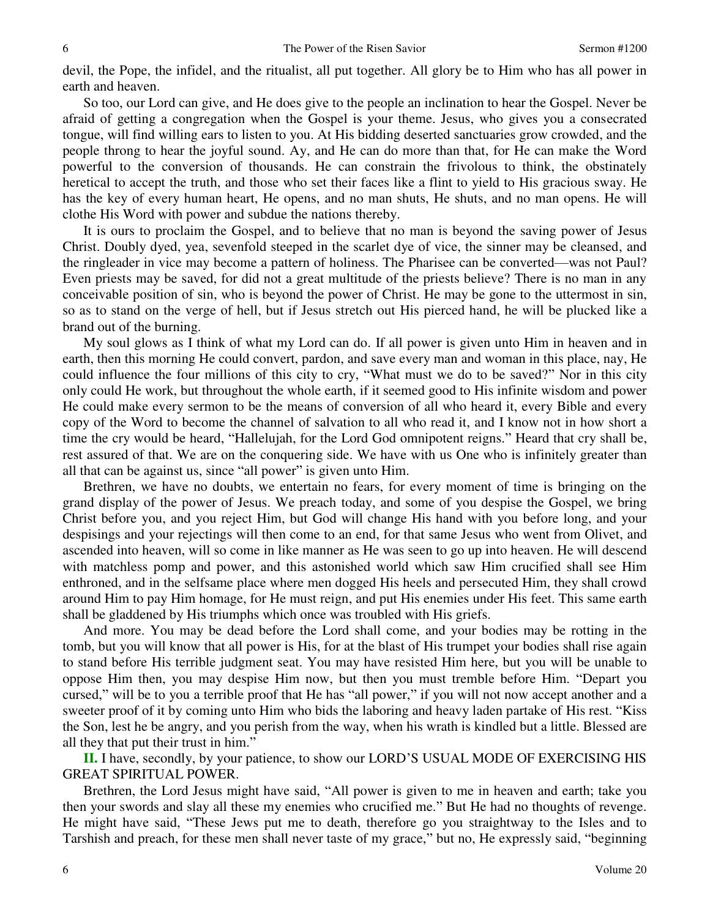devil, the Pope, the infidel, and the ritualist, all put together. All glory be to Him who has all power in earth and heaven.

So too, our Lord can give, and He does give to the people an inclination to hear the Gospel. Never be afraid of getting a congregation when the Gospel is your theme. Jesus, who gives you a consecrated tongue, will find willing ears to listen to you. At His bidding deserted sanctuaries grow crowded, and the people throng to hear the joyful sound. Ay, and He can do more than that, for He can make the Word powerful to the conversion of thousands. He can constrain the frivolous to think, the obstinately heretical to accept the truth, and those who set their faces like a flint to yield to His gracious sway. He has the key of every human heart, He opens, and no man shuts, He shuts, and no man opens. He will clothe His Word with power and subdue the nations thereby.

It is ours to proclaim the Gospel, and to believe that no man is beyond the saving power of Jesus Christ. Doubly dyed, yea, sevenfold steeped in the scarlet dye of vice, the sinner may be cleansed, and the ringleader in vice may become a pattern of holiness. The Pharisee can be converted—was not Paul? Even priests may be saved, for did not a great multitude of the priests believe? There is no man in any conceivable position of sin, who is beyond the power of Christ. He may be gone to the uttermost in sin, so as to stand on the verge of hell, but if Jesus stretch out His pierced hand, he will be plucked like a brand out of the burning.

My soul glows as I think of what my Lord can do. If all power is given unto Him in heaven and in earth, then this morning He could convert, pardon, and save every man and woman in this place, nay, He could influence the four millions of this city to cry, "What must we do to be saved?" Nor in this city only could He work, but throughout the whole earth, if it seemed good to His infinite wisdom and power He could make every sermon to be the means of conversion of all who heard it, every Bible and every copy of the Word to become the channel of salvation to all who read it, and I know not in how short a time the cry would be heard, "Hallelujah, for the Lord God omnipotent reigns." Heard that cry shall be, rest assured of that. We are on the conquering side. We have with us One who is infinitely greater than all that can be against us, since "all power" is given unto Him.

Brethren, we have no doubts, we entertain no fears, for every moment of time is bringing on the grand display of the power of Jesus. We preach today, and some of you despise the Gospel, we bring Christ before you, and you reject Him, but God will change His hand with you before long, and your despisings and your rejectings will then come to an end, for that same Jesus who went from Olivet, and ascended into heaven, will so come in like manner as He was seen to go up into heaven. He will descend with matchless pomp and power, and this astonished world which saw Him crucified shall see Him enthroned, and in the selfsame place where men dogged His heels and persecuted Him, they shall crowd around Him to pay Him homage, for He must reign, and put His enemies under His feet. This same earth shall be gladdened by His triumphs which once was troubled with His griefs.

And more. You may be dead before the Lord shall come, and your bodies may be rotting in the tomb, but you will know that all power is His, for at the blast of His trumpet your bodies shall rise again to stand before His terrible judgment seat. You may have resisted Him here, but you will be unable to oppose Him then, you may despise Him now, but then you must tremble before Him. "Depart you cursed," will be to you a terrible proof that He has "all power," if you will not now accept another and a sweeter proof of it by coming unto Him who bids the laboring and heavy laden partake of His rest. "Kiss the Son, lest he be angry, and you perish from the way, when his wrath is kindled but a little. Blessed are all they that put their trust in him."

**II.** I have, secondly, by your patience, to show our LORD'S USUAL MODE OF EXERCISING HIS GREAT SPIRITUAL POWER.

Brethren, the Lord Jesus might have said, "All power is given to me in heaven and earth; take you then your swords and slay all these my enemies who crucified me." But He had no thoughts of revenge. He might have said, "These Jews put me to death, therefore go you straightway to the Isles and to Tarshish and preach, for these men shall never taste of my grace," but no, He expressly said, "beginning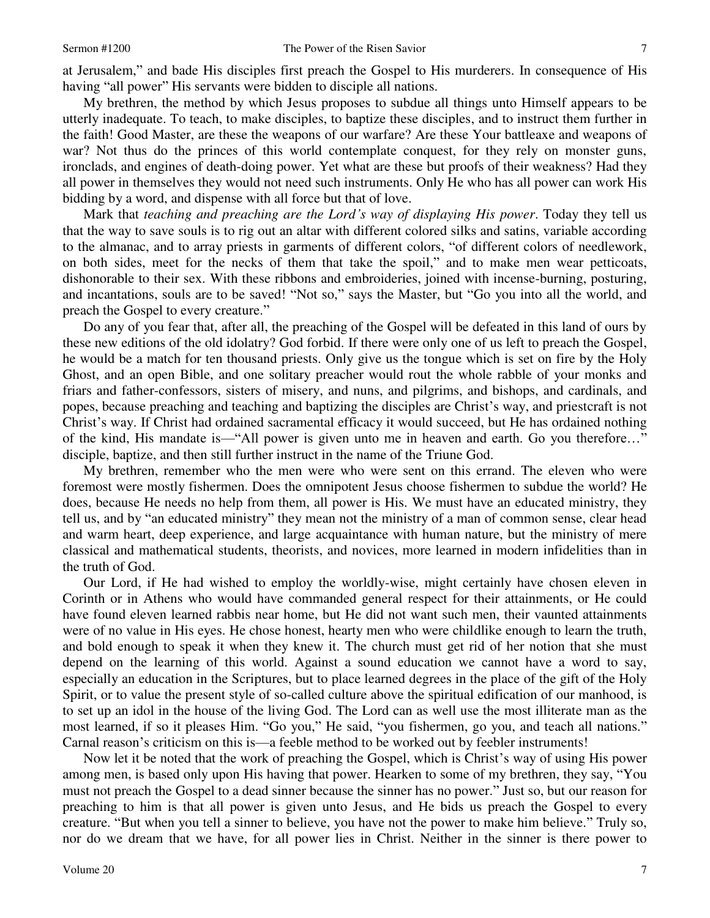at Jerusalem," and bade His disciples first preach the Gospel to His murderers. In consequence of His having "all power" His servants were bidden to disciple all nations.

My brethren, the method by which Jesus proposes to subdue all things unto Himself appears to be utterly inadequate. To teach, to make disciples, to baptize these disciples, and to instruct them further in the faith! Good Master, are these the weapons of our warfare? Are these Your battleaxe and weapons of war? Not thus do the princes of this world contemplate conquest, for they rely on monster guns, ironclads, and engines of death-doing power. Yet what are these but proofs of their weakness? Had they all power in themselves they would not need such instruments. Only He who has all power can work His bidding by a word, and dispense with all force but that of love.

Mark that *teaching and preaching are the Lord's way of displaying His power*. Today they tell us that the way to save souls is to rig out an altar with different colored silks and satins, variable according to the almanac, and to array priests in garments of different colors, "of different colors of needlework, on both sides, meet for the necks of them that take the spoil," and to make men wear petticoats, dishonorable to their sex. With these ribbons and embroideries, joined with incense-burning, posturing, and incantations, souls are to be saved! "Not so," says the Master, but "Go you into all the world, and preach the Gospel to every creature."

Do any of you fear that, after all, the preaching of the Gospel will be defeated in this land of ours by these new editions of the old idolatry? God forbid. If there were only one of us left to preach the Gospel, he would be a match for ten thousand priests. Only give us the tongue which is set on fire by the Holy Ghost, and an open Bible, and one solitary preacher would rout the whole rabble of your monks and friars and father-confessors, sisters of misery, and nuns, and pilgrims, and bishops, and cardinals, and popes, because preaching and teaching and baptizing the disciples are Christ's way, and priestcraft is not Christ's way. If Christ had ordained sacramental efficacy it would succeed, but He has ordained nothing of the kind, His mandate is—"All power is given unto me in heaven and earth. Go you therefore…" disciple, baptize, and then still further instruct in the name of the Triune God.

My brethren, remember who the men were who were sent on this errand. The eleven who were foremost were mostly fishermen. Does the omnipotent Jesus choose fishermen to subdue the world? He does, because He needs no help from them, all power is His. We must have an educated ministry, they tell us, and by "an educated ministry" they mean not the ministry of a man of common sense, clear head and warm heart, deep experience, and large acquaintance with human nature, but the ministry of mere classical and mathematical students, theorists, and novices, more learned in modern infidelities than in the truth of God.

Our Lord, if He had wished to employ the worldly-wise, might certainly have chosen eleven in Corinth or in Athens who would have commanded general respect for their attainments, or He could have found eleven learned rabbis near home, but He did not want such men, their vaunted attainments were of no value in His eyes. He chose honest, hearty men who were childlike enough to learn the truth, and bold enough to speak it when they knew it. The church must get rid of her notion that she must depend on the learning of this world. Against a sound education we cannot have a word to say, especially an education in the Scriptures, but to place learned degrees in the place of the gift of the Holy Spirit, or to value the present style of so-called culture above the spiritual edification of our manhood, is to set up an idol in the house of the living God. The Lord can as well use the most illiterate man as the most learned, if so it pleases Him. "Go you," He said, "you fishermen, go you, and teach all nations." Carnal reason's criticism on this is—a feeble method to be worked out by feebler instruments!

Now let it be noted that the work of preaching the Gospel, which is Christ's way of using His power among men, is based only upon His having that power. Hearken to some of my brethren, they say, "You must not preach the Gospel to a dead sinner because the sinner has no power." Just so, but our reason for preaching to him is that all power is given unto Jesus, and He bids us preach the Gospel to every creature. "But when you tell a sinner to believe, you have not the power to make him believe." Truly so, nor do we dream that we have, for all power lies in Christ. Neither in the sinner is there power to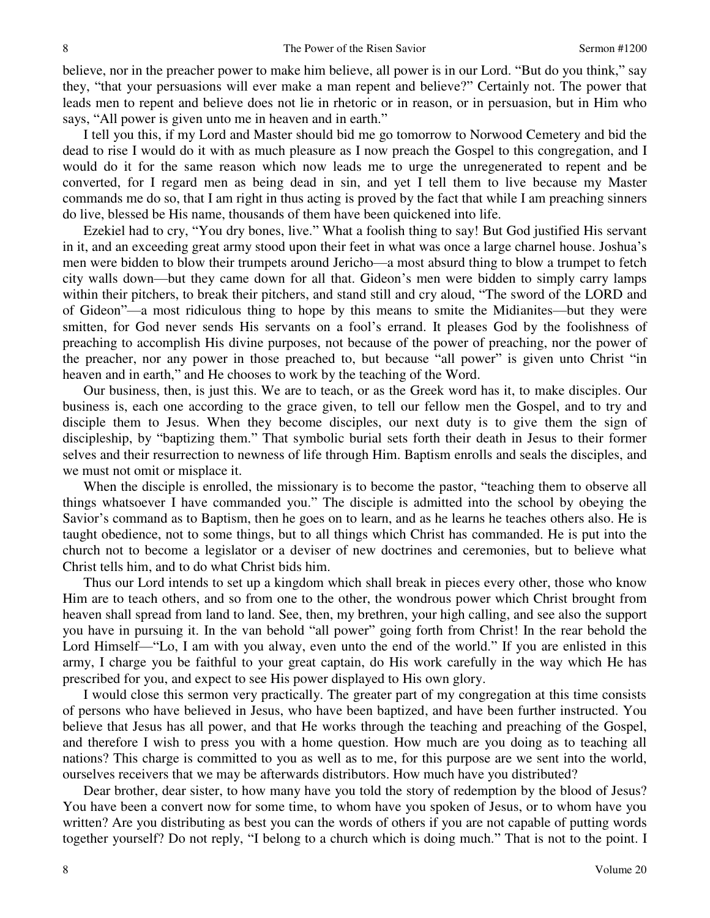believe, nor in the preacher power to make him believe, all power is in our Lord. "But do you think," say they, "that your persuasions will ever make a man repent and believe?" Certainly not. The power that leads men to repent and believe does not lie in rhetoric or in reason, or in persuasion, but in Him who says, "All power is given unto me in heaven and in earth."

I tell you this, if my Lord and Master should bid me go tomorrow to Norwood Cemetery and bid the dead to rise I would do it with as much pleasure as I now preach the Gospel to this congregation, and I would do it for the same reason which now leads me to urge the unregenerated to repent and be converted, for I regard men as being dead in sin, and yet I tell them to live because my Master commands me do so, that I am right in thus acting is proved by the fact that while I am preaching sinners do live, blessed be His name, thousands of them have been quickened into life.

Ezekiel had to cry, "You dry bones, live." What a foolish thing to say! But God justified His servant in it, and an exceeding great army stood upon their feet in what was once a large charnel house. Joshua's men were bidden to blow their trumpets around Jericho—a most absurd thing to blow a trumpet to fetch city walls down—but they came down for all that. Gideon's men were bidden to simply carry lamps within their pitchers, to break their pitchers, and stand still and cry aloud, "The sword of the LORD and of Gideon"—a most ridiculous thing to hope by this means to smite the Midianites—but they were smitten, for God never sends His servants on a fool's errand. It pleases God by the foolishness of preaching to accomplish His divine purposes, not because of the power of preaching, nor the power of the preacher, nor any power in those preached to, but because "all power" is given unto Christ "in heaven and in earth," and He chooses to work by the teaching of the Word.

Our business, then, is just this. We are to teach, or as the Greek word has it, to make disciples. Our business is, each one according to the grace given, to tell our fellow men the Gospel, and to try and disciple them to Jesus. When they become disciples, our next duty is to give them the sign of discipleship, by "baptizing them." That symbolic burial sets forth their death in Jesus to their former selves and their resurrection to newness of life through Him. Baptism enrolls and seals the disciples, and we must not omit or misplace it.

When the disciple is enrolled, the missionary is to become the pastor, "teaching them to observe all things whatsoever I have commanded you." The disciple is admitted into the school by obeying the Savior's command as to Baptism, then he goes on to learn, and as he learns he teaches others also. He is taught obedience, not to some things, but to all things which Christ has commanded. He is put into the church not to become a legislator or a deviser of new doctrines and ceremonies, but to believe what Christ tells him, and to do what Christ bids him.

Thus our Lord intends to set up a kingdom which shall break in pieces every other, those who know Him are to teach others, and so from one to the other, the wondrous power which Christ brought from heaven shall spread from land to land. See, then, my brethren, your high calling, and see also the support you have in pursuing it. In the van behold "all power" going forth from Christ! In the rear behold the Lord Himself—"Lo, I am with you alway, even unto the end of the world." If you are enlisted in this army, I charge you be faithful to your great captain, do His work carefully in the way which He has prescribed for you, and expect to see His power displayed to His own glory.

I would close this sermon very practically. The greater part of my congregation at this time consists of persons who have believed in Jesus, who have been baptized, and have been further instructed. You believe that Jesus has all power, and that He works through the teaching and preaching of the Gospel, and therefore I wish to press you with a home question. How much are you doing as to teaching all nations? This charge is committed to you as well as to me, for this purpose are we sent into the world, ourselves receivers that we may be afterwards distributors. How much have you distributed?

Dear brother, dear sister, to how many have you told the story of redemption by the blood of Jesus? You have been a convert now for some time, to whom have you spoken of Jesus, or to whom have you written? Are you distributing as best you can the words of others if you are not capable of putting words together yourself? Do not reply, "I belong to a church which is doing much." That is not to the point. I

8